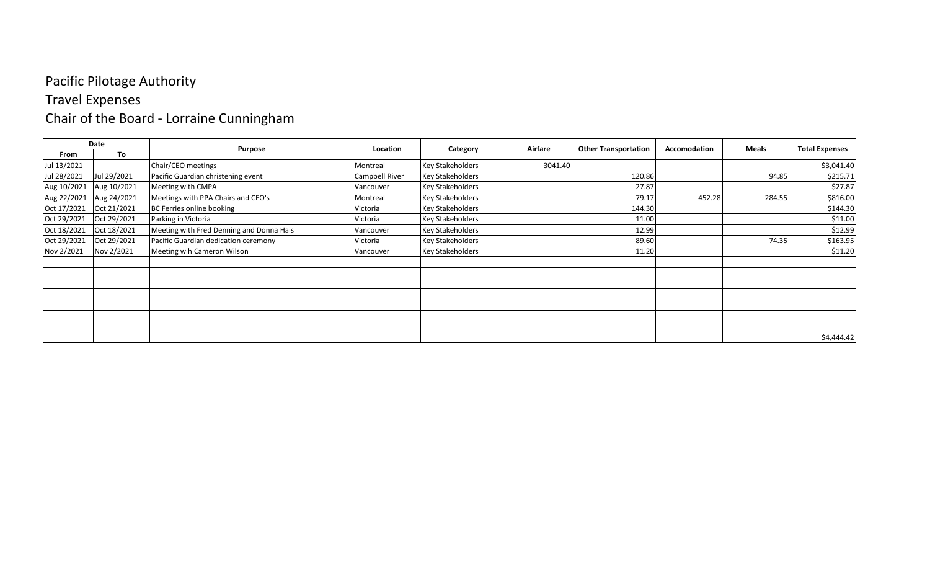# Travel Expenses

# Chair of the Board - Lorraine Cunningham

|             | Date        |                                          | Location       |                         | Airfare | <b>Other Transportation</b> | Accomodation | <b>Meals</b> |                       |
|-------------|-------------|------------------------------------------|----------------|-------------------------|---------|-----------------------------|--------------|--------------|-----------------------|
| From        | To          | Purpose                                  |                | Category                |         |                             |              |              | <b>Total Expenses</b> |
| Jul 13/2021 |             | Chair/CEO meetings                       | Montreal       | <b>Key Stakeholders</b> | 3041.40 |                             |              |              | \$3,041.40            |
| Jul 28/2021 | Jul 29/2021 | Pacific Guardian christening event       | Campbell River | <b>Key Stakeholders</b> |         | 120.86                      |              | 94.85        | \$215.71              |
| Aug 10/2021 | Aug 10/2021 | Meeting with CMPA                        | Vancouver      | <b>Key Stakeholders</b> |         | 27.87                       |              |              | \$27.87               |
| Aug 22/2021 | Aug 24/2021 | Meetings with PPA Chairs and CEO's       | Montreal       | <b>Key Stakeholders</b> |         | 79.17                       | 452.28       | 284.55       | \$816.00              |
| Oct 17/2021 | Oct 21/2021 | BC Ferries online booking                | Victoria       | <b>Key Stakeholders</b> |         | 144.30                      |              |              | \$144.30              |
| Oct 29/2021 | Oct 29/2021 | Parking in Victoria                      | Victoria       | <b>Key Stakeholders</b> |         | 11.00                       |              |              | \$11.00               |
| Oct 18/2021 | Oct 18/2021 | Meeting with Fred Denning and Donna Hais | Vancouver      | <b>Key Stakeholders</b> |         | 12.99                       |              |              | \$12.99               |
| Oct 29/2021 | Oct 29/2021 | Pacific Guardian dedication ceremony     | Victoria       | <b>Key Stakeholders</b> |         | 89.60                       |              | 74.35        | \$163.95              |
| Nov 2/2021  | Nov 2/2021  | Meeting wih Cameron Wilson               | Vancouver      | <b>Key Stakeholders</b> |         | 11.20                       |              |              | \$11.20               |
|             |             |                                          |                |                         |         |                             |              |              |                       |
|             |             |                                          |                |                         |         |                             |              |              |                       |
|             |             |                                          |                |                         |         |                             |              |              |                       |
|             |             |                                          |                |                         |         |                             |              |              |                       |
|             |             |                                          |                |                         |         |                             |              |              |                       |
|             |             |                                          |                |                         |         |                             |              |              |                       |
|             |             |                                          |                |                         |         |                             |              |              |                       |
|             |             |                                          |                |                         |         |                             |              |              | \$4,444.42            |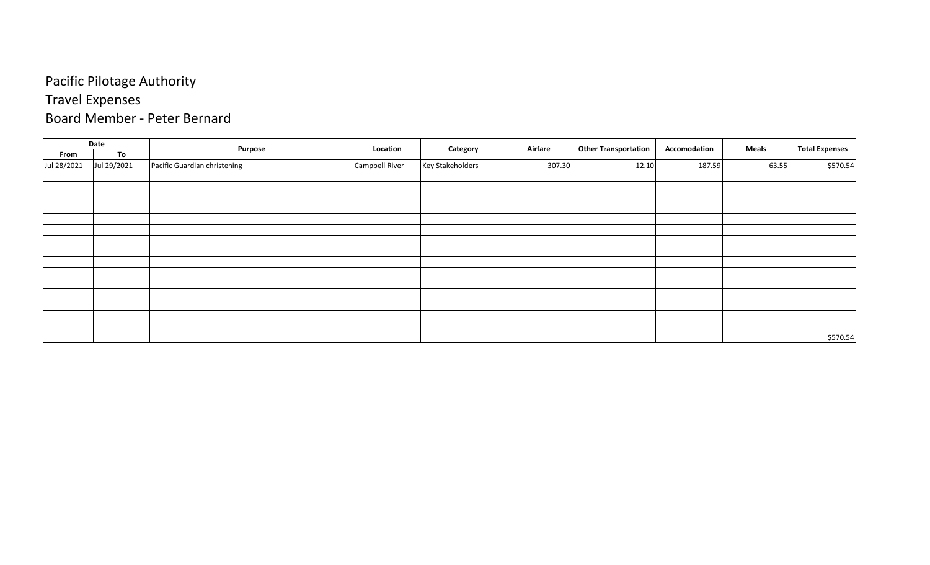# Travel Expenses

#### Board Member - Peter Bernard

|             | Date        | Purpose                      | Location       | Category                | Airfare | <b>Other Transportation</b> | Accomodation | <b>Meals</b> | <b>Total Expenses</b> |
|-------------|-------------|------------------------------|----------------|-------------------------|---------|-----------------------------|--------------|--------------|-----------------------|
| From        | To          |                              |                |                         |         |                             |              |              |                       |
| Jul 28/2021 | Jul 29/2021 | Pacific Guardian christening | Campbell River | <b>Key Stakeholders</b> | 307.30  | 12.10                       | 187.59       | 63.55        | \$570.54              |
|             |             |                              |                |                         |         |                             |              |              |                       |
|             |             |                              |                |                         |         |                             |              |              |                       |
|             |             |                              |                |                         |         |                             |              |              |                       |
|             |             |                              |                |                         |         |                             |              |              |                       |
|             |             |                              |                |                         |         |                             |              |              |                       |
|             |             |                              |                |                         |         |                             |              |              |                       |
|             |             |                              |                |                         |         |                             |              |              |                       |
|             |             |                              |                |                         |         |                             |              |              |                       |
|             |             |                              |                |                         |         |                             |              |              |                       |
|             |             |                              |                |                         |         |                             |              |              |                       |
|             |             |                              |                |                         |         |                             |              |              |                       |
|             |             |                              |                |                         |         |                             |              |              |                       |
|             |             |                              |                |                         |         |                             |              |              |                       |
|             |             |                              |                |                         |         |                             |              |              |                       |
|             |             |                              |                |                         |         |                             |              |              |                       |
|             |             |                              |                |                         |         |                             |              |              | \$570.54              |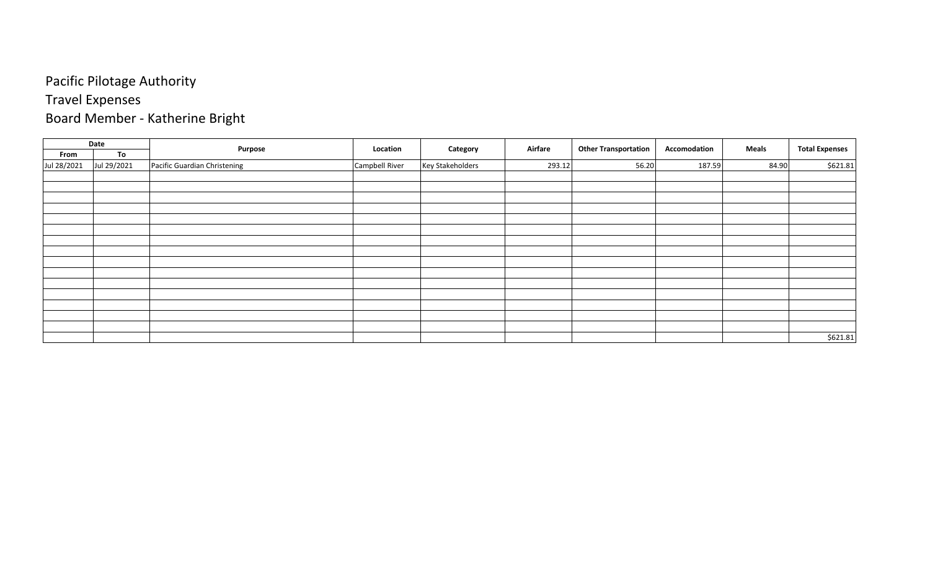# Travel Expenses

# Board Member - Katherine Bright

|             | Date        |                              | Location       |                         | Airfare |                             | Accomodation | <b>Meals</b> |                       |
|-------------|-------------|------------------------------|----------------|-------------------------|---------|-----------------------------|--------------|--------------|-----------------------|
| From        | To          | Purpose                      |                | Category                |         | <b>Other Transportation</b> |              |              | <b>Total Expenses</b> |
| Jul 28/2021 | Jul 29/2021 | Pacific Guardian Christening | Campbell River | <b>Key Stakeholders</b> | 293.12  | 56.20                       | 187.59       | 84.90        | \$621.81              |
|             |             |                              |                |                         |         |                             |              |              |                       |
|             |             |                              |                |                         |         |                             |              |              |                       |
|             |             |                              |                |                         |         |                             |              |              |                       |
|             |             |                              |                |                         |         |                             |              |              |                       |
|             |             |                              |                |                         |         |                             |              |              |                       |
|             |             |                              |                |                         |         |                             |              |              |                       |
|             |             |                              |                |                         |         |                             |              |              |                       |
|             |             |                              |                |                         |         |                             |              |              |                       |
|             |             |                              |                |                         |         |                             |              |              |                       |
|             |             |                              |                |                         |         |                             |              |              |                       |
|             |             |                              |                |                         |         |                             |              |              |                       |
|             |             |                              |                |                         |         |                             |              |              |                       |
|             |             |                              |                |                         |         |                             |              |              |                       |
|             |             |                              |                |                         |         |                             |              |              |                       |
|             |             |                              |                |                         |         |                             |              |              |                       |
|             |             |                              |                |                         |         |                             |              |              | \$621.81              |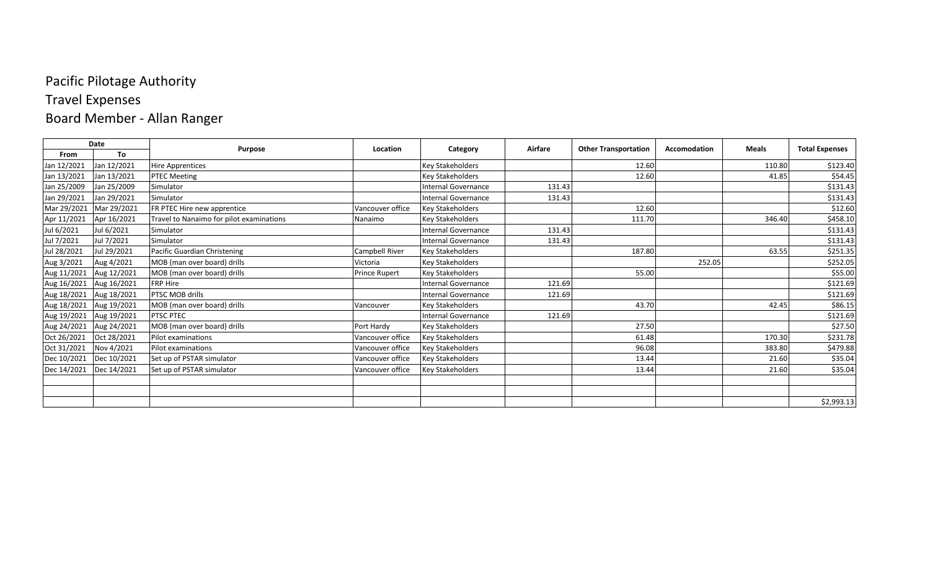# Travel Expenses

# Board Member - Allan Ranger

|             | Date        |                                          | Location             |                            | Airfare | <b>Other Transportation</b> | Accomodation | <b>Meals</b> |                       |
|-------------|-------------|------------------------------------------|----------------------|----------------------------|---------|-----------------------------|--------------|--------------|-----------------------|
| From        | To          | <b>Purpose</b>                           |                      | Category                   |         |                             |              |              | <b>Total Expenses</b> |
| Jan 12/2021 | Jan 12/2021 | <b>Hire Apprentices</b>                  |                      | <b>Key Stakeholders</b>    |         | 12.60                       |              | 110.80       | \$123.40              |
| Jan 13/2021 | Jan 13/2021 | <b>PTEC Meeting</b>                      |                      | <b>Key Stakeholders</b>    |         | 12.60                       |              | 41.85        | \$54.45               |
| Jan 25/2009 | Jan 25/2009 | Simulator                                |                      | Internal Governance        | 131.43  |                             |              |              | \$131.43              |
| Jan 29/2021 | Jan 29/2021 | Simulator                                |                      | Internal Governance        | 131.43  |                             |              |              | \$131.43              |
| Mar 29/2021 | Mar 29/2021 | FR PTEC Hire new apprentice              | Vancouver office     | <b>Key Stakeholders</b>    |         | 12.60                       |              |              | \$12.60               |
| Apr 11/2021 | Apr 16/2021 | Travel to Nanaimo for pilot examinations | Nanaimo              | <b>Key Stakeholders</b>    |         | 111.70                      |              | 346.40       | \$458.10              |
| Jul 6/2021  | Jul 6/2021  | Simulator                                |                      | Internal Governance        | 131.43  |                             |              |              | \$131.43              |
| Jul 7/2021  | Jul 7/2021  | Simulator                                |                      | Internal Governance        | 131.43  |                             |              |              | \$131.43              |
| Jul 28/2021 | Jul 29/2021 | Pacific Guardian Christening             | Campbell River       | <b>Key Stakeholders</b>    |         | 187.80                      |              | 63.55        | \$251.35              |
| Aug 3/2021  | Aug 4/2021  | MOB (man over board) drills              | Victoria             | <b>Key Stakeholders</b>    |         |                             | 252.05       |              | \$252.05              |
| Aug 11/2021 | Aug 12/2021 | MOB (man over board) drills              | <b>Prince Rupert</b> | <b>Key Stakeholders</b>    |         | 55.00                       |              |              | \$55.00               |
| Aug 16/2021 | Aug 16/2021 | FRP Hire                                 |                      | <b>Internal Governance</b> | 121.69  |                             |              |              | \$121.69              |
| Aug 18/2021 | Aug 18/2021 | PTSC MOB drills                          |                      | Internal Governance        | 121.69  |                             |              |              | \$121.69              |
| Aug 18/2021 | Aug 19/2021 | MOB (man over board) drills              | Vancouver            | <b>Key Stakeholders</b>    |         | 43.70                       |              | 42.45        | \$86.15               |
| Aug 19/2021 | Aug 19/2021 | <b>PTSC PTEC</b>                         |                      | Internal Governance        | 121.69  |                             |              |              | \$121.69              |
| Aug 24/2021 | Aug 24/2021 | MOB (man over board) drills              | Port Hardy           | <b>Key Stakeholders</b>    |         | 27.50                       |              |              | \$27.50               |
| Oct 26/2021 | Oct 28/2021 | Pilot examinations                       | Vancouver office     | <b>Key Stakeholders</b>    |         | 61.48                       |              | 170.30       | \$231.78              |
| Oct 31/2021 | Nov 4/2021  | Pilot examinations                       | Vancouver office     | <b>Key Stakeholders</b>    |         | 96.08                       |              | 383.80       | \$479.88              |
| Dec 10/2021 | Dec 10/2021 | Set up of PSTAR simulator                | Vancouver office     | <b>Key Stakeholders</b>    |         | 13.44                       |              | 21.60        | \$35.04               |
| Dec 14/2021 | Dec 14/2021 | Set up of PSTAR simulator                | Vancouver office     | <b>Key Stakeholders</b>    |         | 13.44                       |              | 21.60        | \$35.04               |
|             |             |                                          |                      |                            |         |                             |              |              |                       |
|             |             |                                          |                      |                            |         |                             |              |              |                       |
|             |             |                                          |                      |                            |         |                             |              |              | \$2,993.13            |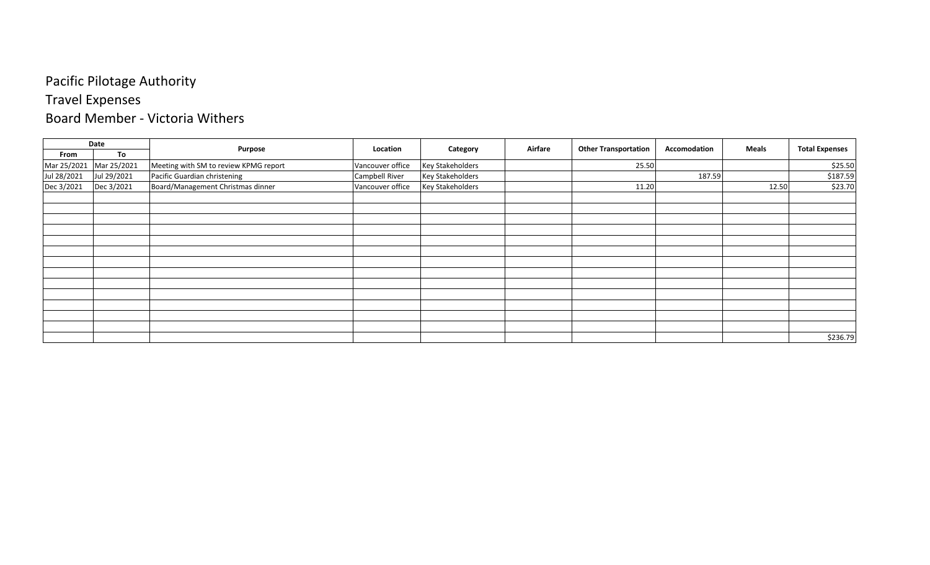# Travel Expenses

#### Board Member - Victoria Withers

|             | Date        |                                       | Location         |                         | Airfare |                             | Accomodation | Meals |                       |
|-------------|-------------|---------------------------------------|------------------|-------------------------|---------|-----------------------------|--------------|-------|-----------------------|
| From        | To          | Purpose                               |                  | Category                |         | <b>Other Transportation</b> |              |       | <b>Total Expenses</b> |
| Mar 25/2021 | Mar 25/2021 | Meeting with SM to review KPMG report | Vancouver office | <b>Key Stakeholders</b> |         | 25.50                       |              |       | \$25.50               |
| Jul 28/2021 | Jul 29/2021 | Pacific Guardian christening          | Campbell River   | <b>Key Stakeholders</b> |         |                             | 187.59       |       | \$187.59              |
| Dec 3/2021  | Dec 3/2021  | Board/Management Christmas dinner     | Vancouver office | <b>Key Stakeholders</b> |         | 11.20                       |              | 12.50 | \$23.70               |
|             |             |                                       |                  |                         |         |                             |              |       |                       |
|             |             |                                       |                  |                         |         |                             |              |       |                       |
|             |             |                                       |                  |                         |         |                             |              |       |                       |
|             |             |                                       |                  |                         |         |                             |              |       |                       |
|             |             |                                       |                  |                         |         |                             |              |       |                       |
|             |             |                                       |                  |                         |         |                             |              |       |                       |
|             |             |                                       |                  |                         |         |                             |              |       |                       |
|             |             |                                       |                  |                         |         |                             |              |       |                       |
|             |             |                                       |                  |                         |         |                             |              |       |                       |
|             |             |                                       |                  |                         |         |                             |              |       |                       |
|             |             |                                       |                  |                         |         |                             |              |       |                       |
|             |             |                                       |                  |                         |         |                             |              |       |                       |
|             |             |                                       |                  |                         |         |                             |              |       |                       |
|             |             |                                       |                  |                         |         |                             |              |       | \$236.79              |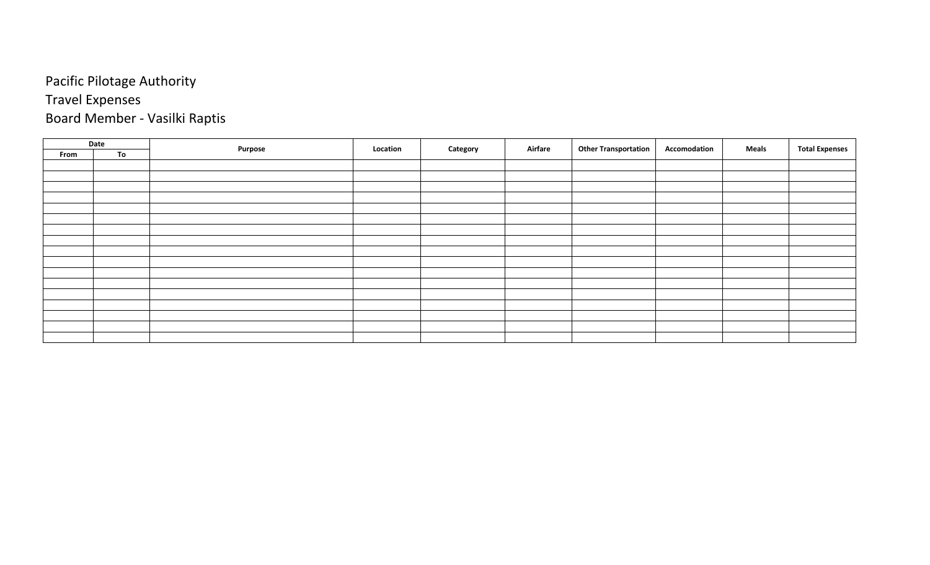#### Pacific Pilotage Authority Travel Expenses

# Board Member - Vasilki Raptis

|      | Date |         | Location |          | Airfare | <b>Other Transportation</b> | Accomodation | <b>Meals</b> | <b>Total Expenses</b> |
|------|------|---------|----------|----------|---------|-----------------------------|--------------|--------------|-----------------------|
| From | To   | Purpose |          | Category |         |                             |              |              |                       |
|      |      |         |          |          |         |                             |              |              |                       |
|      |      |         |          |          |         |                             |              |              |                       |
|      |      |         |          |          |         |                             |              |              |                       |
|      |      |         |          |          |         |                             |              |              |                       |
|      |      |         |          |          |         |                             |              |              |                       |
|      |      |         |          |          |         |                             |              |              |                       |
|      |      |         |          |          |         |                             |              |              |                       |
|      |      |         |          |          |         |                             |              |              |                       |
|      |      |         |          |          |         |                             |              |              |                       |
|      |      |         |          |          |         |                             |              |              |                       |
|      |      |         |          |          |         |                             |              |              |                       |
|      |      |         |          |          |         |                             |              |              |                       |
|      |      |         |          |          |         |                             |              |              |                       |
|      |      |         |          |          |         |                             |              |              |                       |
|      |      |         |          |          |         |                             |              |              |                       |
|      |      |         |          |          |         |                             |              |              |                       |
|      |      |         |          |          |         |                             |              |              |                       |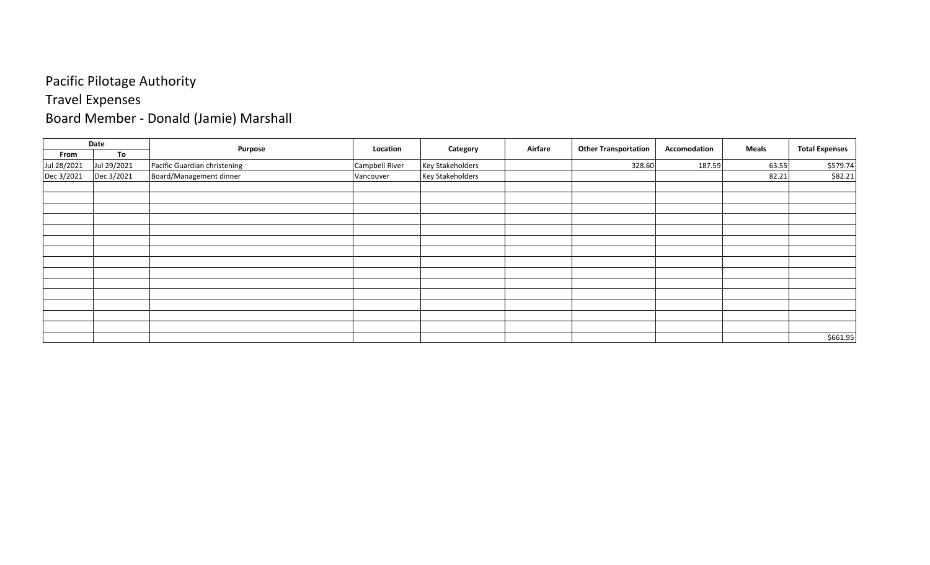# Travel Expenses

# Board Member - Donald (Jamie) Marshall

|             | Date        | Purpose                      | Location       | Category                | Airfare | <b>Other Transportation</b> | Accomodation | <b>Meals</b> | <b>Total Expenses</b> |
|-------------|-------------|------------------------------|----------------|-------------------------|---------|-----------------------------|--------------|--------------|-----------------------|
| From        | To          |                              |                |                         |         |                             |              |              |                       |
| Jul 28/2021 | Jul 29/2021 | Pacific Guardian christening | Campbell River | <b>Key Stakeholders</b> |         | 328.60                      | 187.59       | 63.55        | \$579.74              |
| Dec 3/2021  | Dec 3/2021  | Board/Management dinner      | Vancouver      | <b>Key Stakeholders</b> |         |                             |              | 82.21        | \$82.21               |
|             |             |                              |                |                         |         |                             |              |              |                       |
|             |             |                              |                |                         |         |                             |              |              |                       |
|             |             |                              |                |                         |         |                             |              |              |                       |
|             |             |                              |                |                         |         |                             |              |              |                       |
|             |             |                              |                |                         |         |                             |              |              |                       |
|             |             |                              |                |                         |         |                             |              |              |                       |
|             |             |                              |                |                         |         |                             |              |              |                       |
|             |             |                              |                |                         |         |                             |              |              |                       |
|             |             |                              |                |                         |         |                             |              |              |                       |
|             |             |                              |                |                         |         |                             |              |              |                       |
|             |             |                              |                |                         |         |                             |              |              |                       |
|             |             |                              |                |                         |         |                             |              |              |                       |
|             |             |                              |                |                         |         |                             |              |              |                       |
|             |             |                              |                |                         |         |                             |              |              |                       |
|             |             |                              |                |                         |         |                             |              |              | \$661.95              |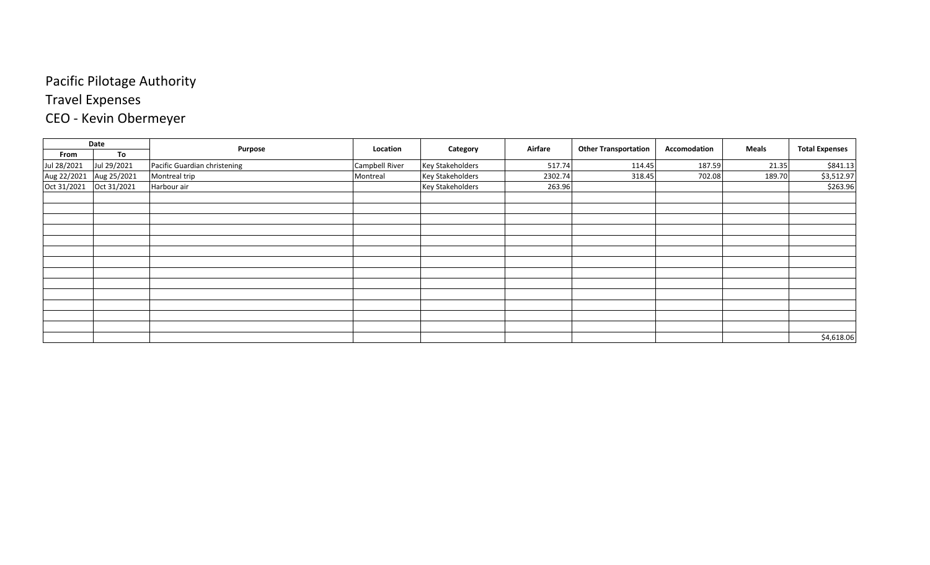# Travel Expenses

# CEO - Kevin Obermeyer

|             | Date        |                              | Location       |                         | Airfare | <b>Other Transportation</b> | Accomodation | Meals  | <b>Total Expenses</b> |
|-------------|-------------|------------------------------|----------------|-------------------------|---------|-----------------------------|--------------|--------|-----------------------|
| From        | To          | Purpose                      |                | Category                |         |                             |              |        |                       |
| Jul 28/2021 | Jul 29/2021 | Pacific Guardian christening | Campbell River | <b>Key Stakeholders</b> | 517.74  | 114.45                      | 187.59       | 21.35  | \$841.13              |
| Aug 22/2021 | Aug 25/2021 | Montreal trip                | Montreal       | <b>Key Stakeholders</b> | 2302.74 | 318.45                      | 702.08       | 189.70 | \$3,512.97            |
| Oct 31/2021 | Oct 31/2021 | Harbour air                  |                | <b>Key Stakeholders</b> | 263.96  |                             |              |        | \$263.96              |
|             |             |                              |                |                         |         |                             |              |        |                       |
|             |             |                              |                |                         |         |                             |              |        |                       |
|             |             |                              |                |                         |         |                             |              |        |                       |
|             |             |                              |                |                         |         |                             |              |        |                       |
|             |             |                              |                |                         |         |                             |              |        |                       |
|             |             |                              |                |                         |         |                             |              |        |                       |
|             |             |                              |                |                         |         |                             |              |        |                       |
|             |             |                              |                |                         |         |                             |              |        |                       |
|             |             |                              |                |                         |         |                             |              |        |                       |
|             |             |                              |                |                         |         |                             |              |        |                       |
|             |             |                              |                |                         |         |                             |              |        |                       |
|             |             |                              |                |                         |         |                             |              |        |                       |
|             |             |                              |                |                         |         |                             |              |        |                       |
|             |             |                              |                |                         |         |                             |              |        | \$4,618.06            |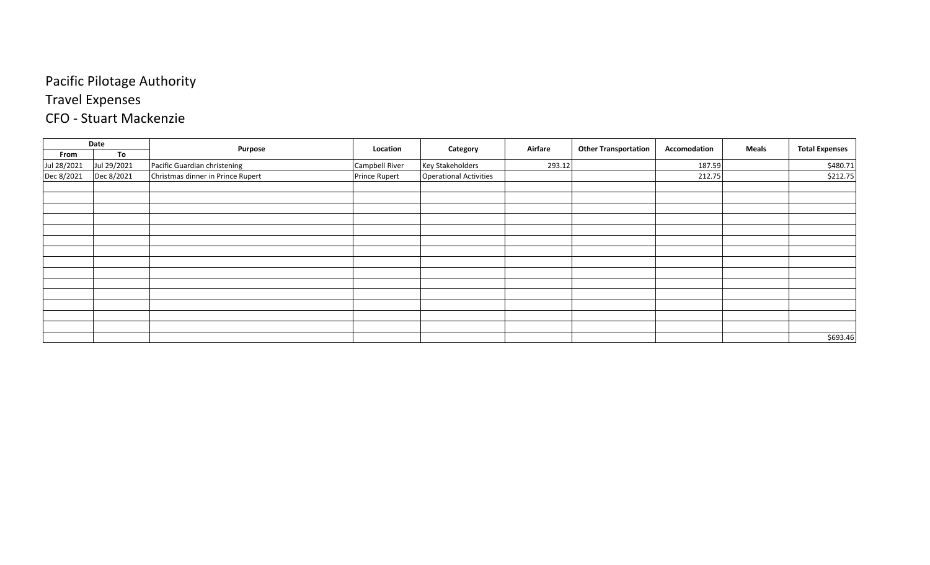# Travel Expenses

#### CFO - Stuart Mackenzie

|             | Date        |                                   | Location             |                               | Airfare |                             | Accomodation | <b>Meals</b> |                       |
|-------------|-------------|-----------------------------------|----------------------|-------------------------------|---------|-----------------------------|--------------|--------------|-----------------------|
| From        | To          | Purpose                           |                      | Category                      |         | <b>Other Transportation</b> |              |              | <b>Total Expenses</b> |
| Jul 28/2021 | Jul 29/2021 | Pacific Guardian christening      | Campbell River       | <b>Key Stakeholders</b>       | 293.12  |                             | 187.59       |              | \$480.71              |
| Dec 8/2021  | Dec 8/2021  | Christmas dinner in Prince Rupert | <b>Prince Rupert</b> | <b>Operational Activities</b> |         |                             | 212.75       |              | \$212.75              |
|             |             |                                   |                      |                               |         |                             |              |              |                       |
|             |             |                                   |                      |                               |         |                             |              |              |                       |
|             |             |                                   |                      |                               |         |                             |              |              |                       |
|             |             |                                   |                      |                               |         |                             |              |              |                       |
|             |             |                                   |                      |                               |         |                             |              |              |                       |
|             |             |                                   |                      |                               |         |                             |              |              |                       |
|             |             |                                   |                      |                               |         |                             |              |              |                       |
|             |             |                                   |                      |                               |         |                             |              |              |                       |
|             |             |                                   |                      |                               |         |                             |              |              |                       |
|             |             |                                   |                      |                               |         |                             |              |              |                       |
|             |             |                                   |                      |                               |         |                             |              |              |                       |
|             |             |                                   |                      |                               |         |                             |              |              |                       |
|             |             |                                   |                      |                               |         |                             |              |              |                       |
|             |             |                                   |                      |                               |         |                             |              |              |                       |
|             |             |                                   |                      |                               |         |                             |              |              | \$693.46              |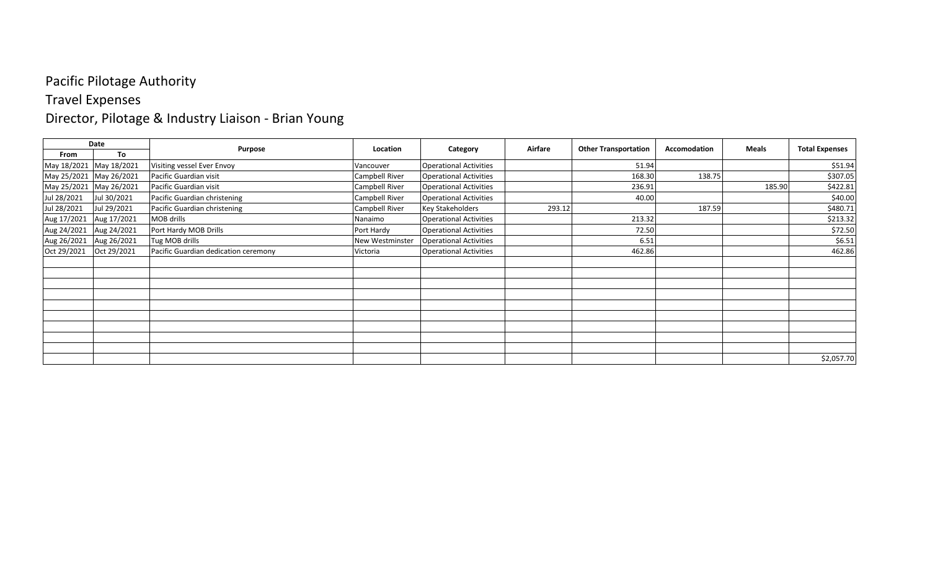#### Travel Expenses

# Director, Pilotage & Industry Liaison - Brian Young

|                         | Date        |                                      | Location               |                               | Airfare | <b>Other Transportation</b> | Accomodation | Meals  |                       |
|-------------------------|-------------|--------------------------------------|------------------------|-------------------------------|---------|-----------------------------|--------------|--------|-----------------------|
| From                    | To          | Purpose                              |                        | Category                      |         |                             |              |        | <b>Total Expenses</b> |
| May 18/2021 May 18/2021 |             | Visiting vessel Ever Envoy           | Vancouver              | <b>Operational Activities</b> |         | 51.94                       |              |        | \$51.94               |
| May 25/2021 May 26/2021 |             | Pacific Guardian visit               | Campbell River         | <b>Operational Activities</b> |         | 168.30                      | 138.75       |        | \$307.05              |
| May 25/2021 May 26/2021 |             | Pacific Guardian visit               | Campbell River         | <b>Operational Activities</b> |         | 236.91                      |              | 185.90 | \$422.81              |
| Jul 28/2021             | Jul 30/2021 | Pacific Guardian christening         | Campbell River         | <b>Operational Activities</b> |         | 40.00                       |              |        | \$40.00               |
| Jul 28/2021             | Jul 29/2021 | Pacific Guardian christening         | Campbell River         | <b>Key Stakeholders</b>       | 293.12  |                             | 187.59       |        | \$480.71              |
| Aug 17/2021             | Aug 17/2021 | MOB drills                           | Nanaimo                | <b>Operational Activities</b> |         | 213.32                      |              |        | \$213.32              |
| Aug 24/2021             | Aug 24/2021 | Port Hardy MOB Drills                | Port Hardy             | <b>Operational Activities</b> |         | 72.50                       |              |        | \$72.50               |
| Aug 26/2021             | Aug 26/2021 | Tug MOB drills                       | <b>New Westminster</b> | <b>Operational Activities</b> |         | 6.51                        |              |        | \$6.51                |
| Oct 29/2021             | Oct 29/2021 | Pacific Guardian dedication ceremony | Victoria               | <b>Operational Activities</b> |         | 462.86                      |              |        | 462.86                |
|                         |             |                                      |                        |                               |         |                             |              |        |                       |
|                         |             |                                      |                        |                               |         |                             |              |        |                       |
|                         |             |                                      |                        |                               |         |                             |              |        |                       |
|                         |             |                                      |                        |                               |         |                             |              |        |                       |
|                         |             |                                      |                        |                               |         |                             |              |        |                       |
|                         |             |                                      |                        |                               |         |                             |              |        |                       |
|                         |             |                                      |                        |                               |         |                             |              |        |                       |
|                         |             |                                      |                        |                               |         |                             |              |        |                       |
|                         |             |                                      |                        |                               |         |                             |              |        |                       |
|                         |             |                                      |                        |                               |         |                             |              |        | \$2,057.70            |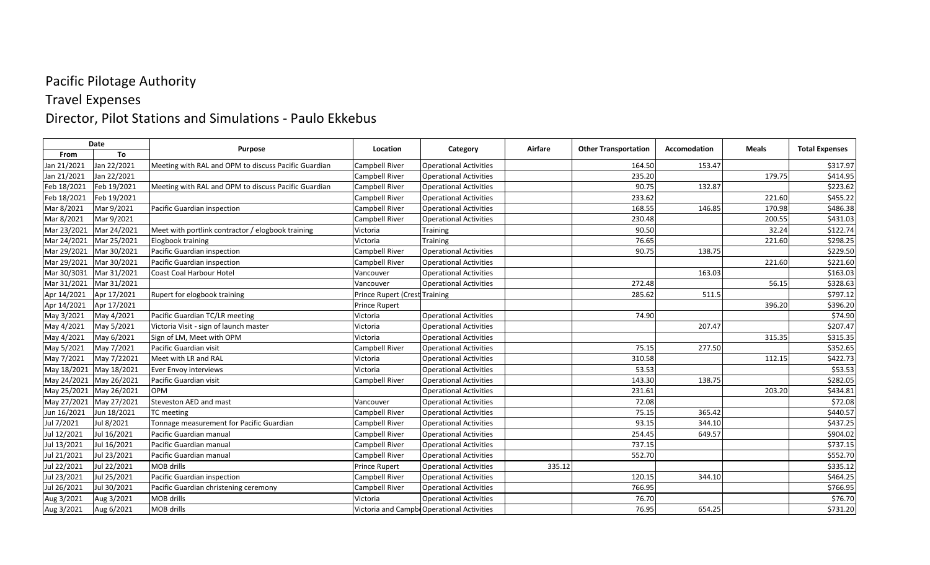#### Travel Expenses

#### Director, Pilot Stations and Simulations - Paulo Ekkebus

|             | Date                    | <b>Purpose</b>                                       | Location                      | Category                                   | Airfare | <b>Other Transportation</b> | Accomodation | <b>Meals</b> | <b>Total Expenses</b> |
|-------------|-------------------------|------------------------------------------------------|-------------------------------|--------------------------------------------|---------|-----------------------------|--------------|--------------|-----------------------|
| From        | To                      |                                                      |                               |                                            |         |                             |              |              |                       |
| Jan 21/2021 | Jan 22/2021             | Meeting with RAL and OPM to discuss Pacific Guardian | Campbell River                | <b>Operational Activities</b>              |         | 164.50                      | 153.47       |              | \$317.97              |
| Jan 21/2021 | Jan 22/2021             |                                                      | Campbell River                | <b>Operational Activities</b>              |         | 235.20                      |              | 179.75       | \$414.95              |
| Feb 18/2021 | Feb 19/2021             | Meeting with RAL and OPM to discuss Pacific Guardian | Campbell River                | <b>Operational Activities</b>              |         | 90.75                       | 132.87       |              | \$223.62              |
| Feb 18/2021 | Feb 19/2021             |                                                      | Campbell River                | <b>Operational Activities</b>              |         | 233.62                      |              | 221.60       | \$455.22              |
| Mar 8/2021  | Mar 9/2021              | Pacific Guardian inspection                          | Campbell River                | <b>Operational Activities</b>              |         | 168.55                      | 146.85       | 170.98       | \$486.38              |
| Mar 8/2021  | Mar 9/2021              |                                                      | Campbell River                | <b>Operational Activities</b>              |         | 230.48                      |              | 200.55       | \$431.03              |
| Mar 23/2021 | Mar 24/2021             | Meet with portlink contractor / elogbook training    | Victoria                      | Training                                   |         | 90.50                       |              | 32.24        | \$122.74              |
| Mar 24/2021 | Mar 25/2021             | Elogbook training                                    | Victoria                      | <b>Training</b>                            |         | 76.65                       |              | 221.60       | \$298.25              |
| Mar 29/2021 | Mar 30/2021             | Pacific Guardian inspection                          | Campbell River                | <b>Operational Activities</b>              |         | 90.75                       | 138.75       |              | \$229.50              |
| Mar 29/2021 | Mar 30/2021             | Pacific Guardian inspection                          | Campbell River                | <b>Operational Activities</b>              |         |                             |              | 221.60       | \$221.60              |
| Mar 30/3031 | Mar 31/2021             | Coast Coal Harbour Hotel                             | Vancouver                     | <b>Operational Activities</b>              |         |                             | 163.03       |              | \$163.03              |
| Mar 31/2021 | Mar 31/2021             |                                                      | Vancouver                     | <b>Operational Activities</b>              |         | 272.48                      |              | 56.15        | \$328.63              |
| Apr 14/2021 | Apr 17/2021             | Rupert for elogbook training                         | Prince Rupert (Crest Training |                                            |         | 285.62                      | 511.5        |              | \$797.12              |
| Apr 14/2021 | Apr 17/2021             |                                                      | <b>Prince Rupert</b>          |                                            |         |                             |              | 396.20       | \$396.20              |
| May 3/2021  | May 4/2021              | Pacific Guardian TC/LR meeting                       | Victoria                      | <b>Operational Activities</b>              |         | 74.90                       |              |              | \$74.90               |
| May 4/2021  | May 5/2021              | Victoria Visit - sign of launch master               | Victoria                      | <b>Operational Activities</b>              |         |                             | 207.47       |              | \$207.47              |
| May 4/2021  | May 6/2021              | Sign of LM, Meet with OPM                            | Victoria                      | <b>Operational Activities</b>              |         |                             |              | 315.35       | \$315.35              |
| May 5/2021  | May 7/2021              | Pacific Guardian visit                               | Campbell River                | <b>Operational Activities</b>              |         | 75.15                       | 277.50       |              | \$352.65              |
| May 7/2021  | May 7/22021             | Meet with LR and RAL                                 | Victoria                      | <b>Operational Activities</b>              |         | 310.58                      |              | 112.15       | \$422.73              |
| May 18/2021 | May 18/2021             | Ever Envoy interviews                                | Victoria                      | <b>Operational Activities</b>              |         | 53.53                       |              |              | \$53.53               |
|             | May 24/2021 May 26/2021 | Pacific Guardian visit                               | Campbell River                | <b>Operational Activities</b>              |         | 143.30                      | 138.75       |              | \$282.05              |
| May 25/2021 | May 26/2021             | <b>OPM</b>                                           |                               | <b>Operational Activities</b>              |         | 231.61                      |              | 203.20       | \$434.81              |
| May 27/2021 | May 27/2021             | Steveston AED and mast                               | Vancouver                     | <b>Operational Activities</b>              |         | 72.08                       |              |              | \$72.08               |
| Jun 16/2021 | Jun 18/2021             | TC meeting                                           | Campbell River                | <b>Operational Activities</b>              |         | 75.15                       | 365.42       |              | \$440.57              |
| Jul 7/2021  | Jul 8/2021              | Tonnage measurement for Pacific Guardian             | Campbell River                | <b>Operational Activities</b>              |         | 93.15                       | 344.10       |              | \$437.25              |
| Jul 12/2021 | Jul 16/2021             | Pacific Guardian manual                              | Campbell River                | <b>Operational Activities</b>              |         | 254.45                      | 649.57       |              | \$904.02              |
| Jul 13/2021 | Jul 16/2021             | Pacific Guardian manual                              | Campbell River                | <b>Operational Activities</b>              |         | 737.15                      |              |              | \$737.15              |
| Jul 21/2021 | Jul 23/2021             | Pacific Guardian manual                              | Campbell River                | <b>Operational Activities</b>              |         | 552.70                      |              |              | \$552.70              |
| Jul 22/2021 | Jul 22/2021             | MOB drills                                           | <b>Prince Rupert</b>          | <b>Operational Activities</b>              | 335.12  |                             |              |              | \$335.12              |
| Jul 23/2021 | Jul 25/2021             | Pacific Guardian inspection                          | Campbell River                | <b>Operational Activities</b>              |         | 120.15                      | 344.10       |              | \$464.25              |
| Jul 26/2021 | Jul 30/2021             | Pacific Guardian christening ceremony                | Campbell River                | <b>Operational Activities</b>              |         | 766.95                      |              |              | \$766.95              |
| Aug 3/2021  | Aug 3/2021              | MOB drills                                           | Victoria                      | <b>Operational Activities</b>              |         | 76.70                       |              |              | \$76.70               |
| Aug 3/2021  | Aug 6/2021              | MOB drills                                           |                               | Victoria and Campbe Operational Activities |         | 76.95                       | 654.25       |              | \$731.20              |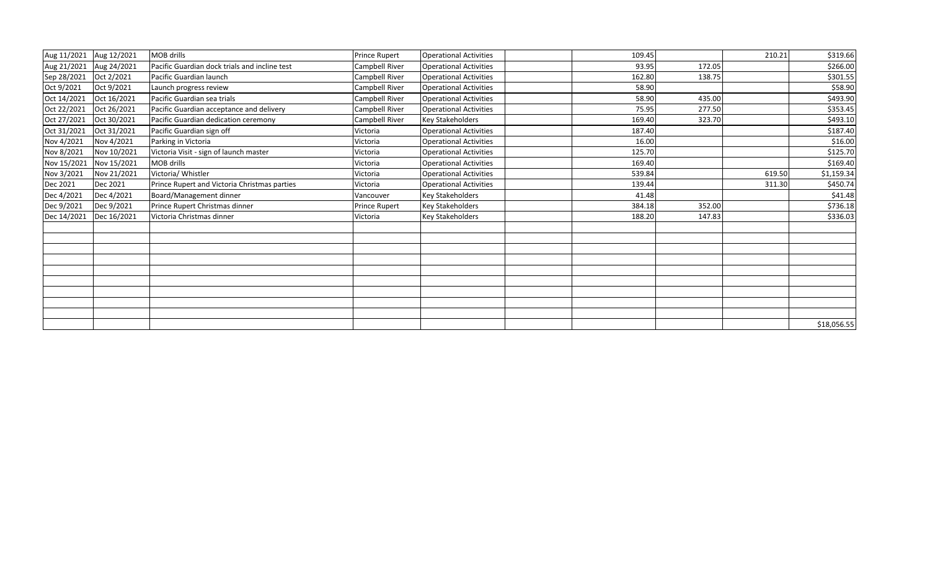|             | Aug 11/2021 Aug 12/2021 | <b>MOB drills</b>                             | <b>Prince Rupert</b>  | <b>Operational Activities</b> | 109.45 |        | 210.21 | \$319.66    |
|-------------|-------------------------|-----------------------------------------------|-----------------------|-------------------------------|--------|--------|--------|-------------|
| Aug 21/2021 | Aug 24/2021             | Pacific Guardian dock trials and incline test | <b>Campbell River</b> | <b>Operational Activities</b> | 93.95  | 172.05 |        | \$266.00    |
| Sep 28/2021 | Oct 2/2021              | Pacific Guardian launch                       | Campbell River        | <b>Operational Activities</b> | 162.80 | 138.75 |        | \$301.55    |
| Oct 9/2021  | Oct 9/2021              | Launch progress review                        | Campbell River        | <b>Operational Activities</b> | 58.90  |        |        | \$58.90     |
| Oct 14/2021 | Oct 16/2021             | Pacific Guardian sea trials                   | <b>Campbell River</b> | <b>Operational Activities</b> | 58.90  | 435.00 |        | \$493.90    |
| Oct 22/2021 | Oct 26/2021             | Pacific Guardian acceptance and delivery      | Campbell River        | <b>Operational Activities</b> | 75.95  | 277.50 |        | \$353.45    |
| Oct 27/2021 | Oct 30/2021             | Pacific Guardian dedication ceremony          | <b>Campbell River</b> | <b>Key Stakeholders</b>       | 169.40 | 323.70 |        | \$493.10    |
| Oct 31/2021 | Oct 31/2021             | Pacific Guardian sign off                     | Victoria              | <b>Operational Activities</b> | 187.40 |        |        | \$187.40    |
| Nov 4/2021  | Nov 4/2021              | Parking in Victoria                           | Victoria              | <b>Operational Activities</b> | 16.00  |        |        | \$16.00     |
| Nov 8/2021  | Nov 10/2021             | Victoria Visit - sign of launch master        | Victoria              | <b>Operational Activities</b> | 125.70 |        |        | \$125.70    |
| Nov 15/2021 | Nov 15/2021             | MOB drills                                    | Victoria              | <b>Operational Activities</b> | 169.40 |        |        | \$169.40    |
| Nov 3/2021  | Nov 21/2021             | Victoria/ Whistler                            | Victoria              | <b>Operational Activities</b> | 539.84 |        | 619.50 | \$1,159.34  |
| Dec 2021    | Dec 2021                | Prince Rupert and Victoria Christmas parties  | Victoria              | <b>Operational Activities</b> | 139.44 |        | 311.30 | \$450.74    |
| Dec 4/2021  | Dec 4/2021              | Board/Management dinner                       | Vancouver             | <b>Key Stakeholders</b>       | 41.48  |        |        | \$41.48     |
| Dec 9/2021  | Dec 9/2021              | Prince Rupert Christmas dinner                | <b>Prince Rupert</b>  | <b>Key Stakeholders</b>       | 384.18 | 352.00 |        | \$736.18    |
| Dec 14/2021 | Dec 16/2021             | Victoria Christmas dinner                     | Victoria              | <b>Key Stakeholders</b>       | 188.20 | 147.83 |        | \$336.03    |
|             |                         |                                               |                       |                               |        |        |        |             |
|             |                         |                                               |                       |                               |        |        |        |             |
|             |                         |                                               |                       |                               |        |        |        |             |
|             |                         |                                               |                       |                               |        |        |        |             |
|             |                         |                                               |                       |                               |        |        |        |             |
|             |                         |                                               |                       |                               |        |        |        |             |
|             |                         |                                               |                       |                               |        |        |        | \$18,056.55 |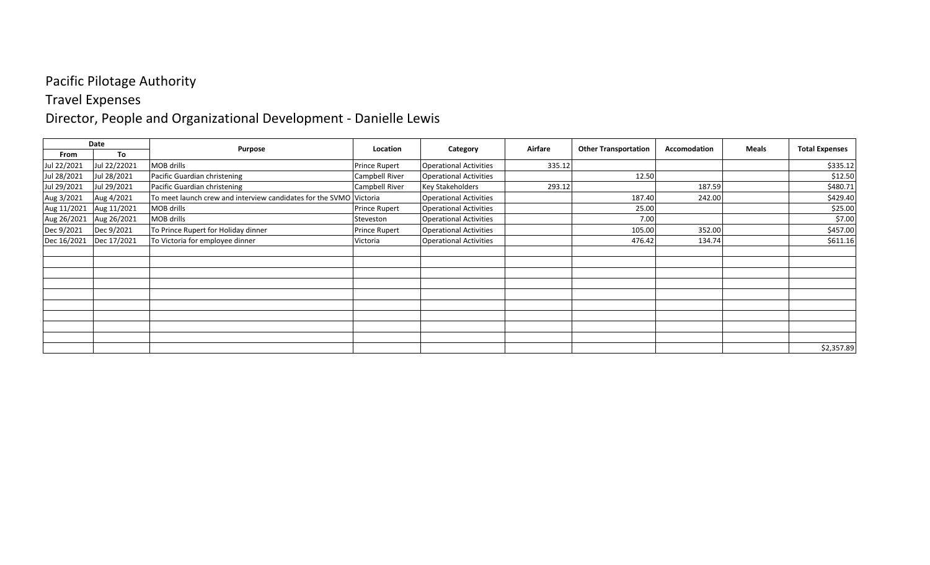#### Travel Expenses

# Director, People and Organizational Development - Danielle Lewis

| Date        |              |                                                                    | Location             |                               | Airfare |                             | Accomodation | <b>Meals</b> |                       |
|-------------|--------------|--------------------------------------------------------------------|----------------------|-------------------------------|---------|-----------------------------|--------------|--------------|-----------------------|
| From        | To           | Purpose                                                            |                      | Category                      |         | <b>Other Transportation</b> |              |              | <b>Total Expenses</b> |
| Jul 22/2021 | Jul 22/22021 | MOB drills                                                         | <b>Prince Rupert</b> | <b>Operational Activities</b> | 335.12  |                             |              |              | \$335.12              |
| Jul 28/2021 | Jul 28/2021  | Pacific Guardian christening                                       | Campbell River       | <b>Operational Activities</b> |         | 12.50                       |              |              | \$12.50               |
| Jul 29/2021 | Jul 29/2021  | Pacific Guardian christening                                       | Campbell River       | <b>Key Stakeholders</b>       | 293.12  |                             | 187.59       |              | \$480.71              |
| Aug 3/2021  | Aug 4/2021   | To meet launch crew and interview candidates for the SVMO Victoria |                      | <b>Operational Activities</b> |         | 187.40                      | 242.00       |              | \$429.40              |
| Aug 11/2021 | Aug 11/2021  | MOB drills                                                         | <b>Prince Rupert</b> | <b>Operational Activities</b> |         | 25.00                       |              |              | \$25.00               |
| Aug 26/2021 | Aug 26/2021  | MOB drills                                                         | Steveston            | <b>Operational Activities</b> |         | 7.0C                        |              |              | \$7.00                |
| Dec 9/2021  | Dec 9/2021   | To Prince Rupert for Holiday dinner                                | Prince Rupert        | <b>Operational Activities</b> |         | 105.00                      | 352.00       |              | \$457.00              |
| Dec 16/2021 | Dec 17/2021  | To Victoria for employee dinner                                    | Victoria             | <b>Operational Activities</b> |         | 476.42                      | 134.74       |              | \$611.16              |
|             |              |                                                                    |                      |                               |         |                             |              |              |                       |
|             |              |                                                                    |                      |                               |         |                             |              |              |                       |
|             |              |                                                                    |                      |                               |         |                             |              |              |                       |
|             |              |                                                                    |                      |                               |         |                             |              |              |                       |
|             |              |                                                                    |                      |                               |         |                             |              |              |                       |
|             |              |                                                                    |                      |                               |         |                             |              |              |                       |
|             |              |                                                                    |                      |                               |         |                             |              |              |                       |
|             |              |                                                                    |                      |                               |         |                             |              |              |                       |
|             |              |                                                                    |                      |                               |         |                             |              |              |                       |
|             |              |                                                                    |                      |                               |         |                             |              |              | \$2,357.89            |